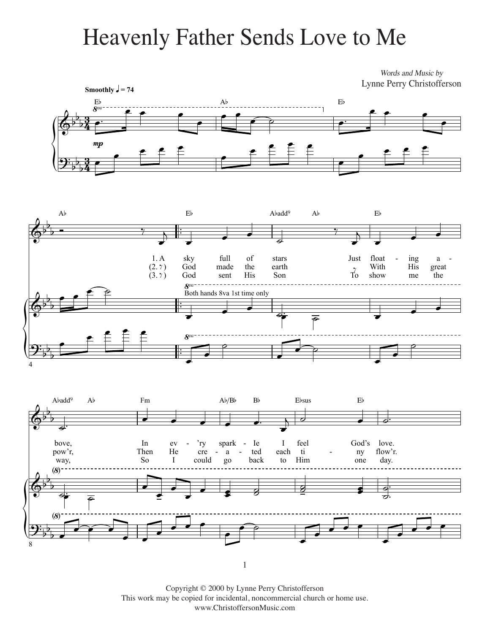## Heavenly Father Sends Love to Me Heavenly Father Sends Love to Me

Words and Music by Lynne Perry Christofferson







1

Copyright © 2000 by Lynne Perry Christofferson This work may be copied for incidental, noncommercial church or home use. www.ChristoffersonMusic.com